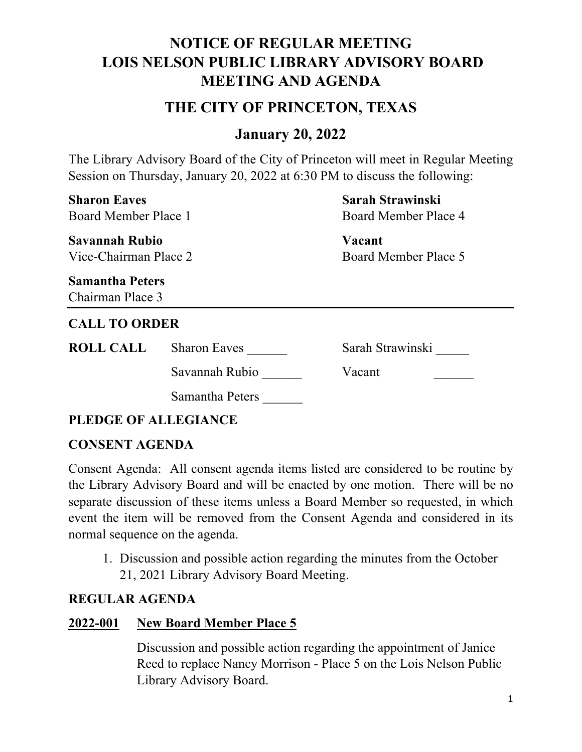# **NOTICE OF REGULAR MEETING LOIS NELSON PUBLIC LIBRARY ADVISORY BOARD MEETING AND AGENDA**

## **THE CITY OF PRINCETON, TEXAS**

## **January 20, 2022**

The Library Advisory Board of the City of Princeton will meet in Regular Meeting Session on Thursday, January 20, 2022 at 6:30 PM to discuss the following:

| <b>Sharon Eaves</b><br>Board Member Place 1<br><b>Savannah Rubio</b><br>Vice-Chairman Place 2 |                     | Sarah Strawinski<br>Board Member Place 4 |  |
|-----------------------------------------------------------------------------------------------|---------------------|------------------------------------------|--|
|                                                                                               |                     | Vacant<br>Board Member Place 5           |  |
| <b>Samantha Peters</b><br>Chairman Place 3                                                    |                     |                                          |  |
| <b>CALL TO ORDER</b>                                                                          |                     |                                          |  |
| <b>ROLL CALL</b>                                                                              | <b>Sharon Eaves</b> | Sarah Strawinski                         |  |
|                                                                                               | Savannah Rubio      | Vacant                                   |  |
|                                                                                               | Samantha Peters     |                                          |  |
|                                                                                               |                     |                                          |  |

**PLEDGE OF ALLEGIANCE**

#### **CONSENT AGENDA**

Consent Agenda: All consent agenda items listed are considered to be routine by the Library Advisory Board and will be enacted by one motion. There will be no separate discussion of these items unless a Board Member so requested, in which event the item will be removed from the Consent Agenda and considered in its normal sequence on the agenda.

1. Discussion and possible action regarding the minutes from the October 21, 2021 Library Advisory Board Meeting.

#### **REGULAR AGENDA**

#### **2022-001 New Board Member Place 5**

Discussion and possible action regarding the appointment of Janice Reed to replace Nancy Morrison - Place 5 on the Lois Nelson Public Library Advisory Board.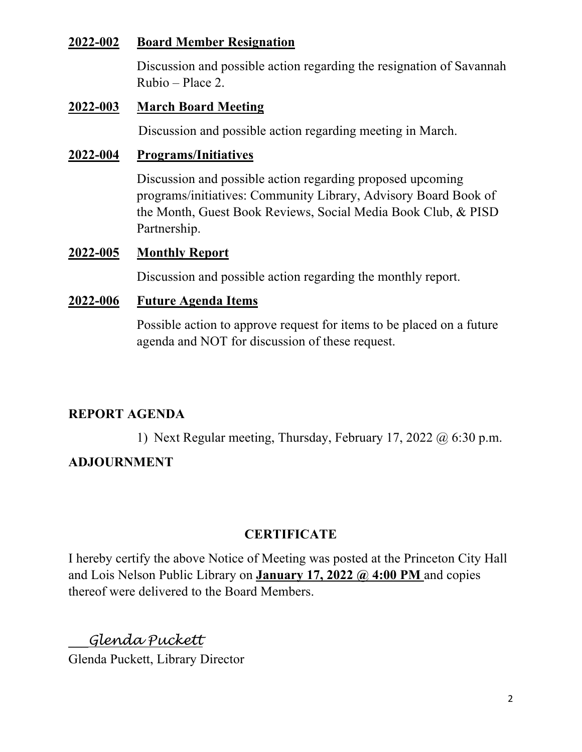#### **2022-002 Board Member Resignation**

Discussion and possible action regarding the resignation of Savannah Rubio – Place 2.

#### **2022-003 March Board Meeting**

Discussion and possible action regarding meeting in March.

#### **2022-004 Programs/Initiatives**

Discussion and possible action regarding proposed upcoming programs/initiatives: Community Library, Advisory Board Book of the Month, Guest Book Reviews, Social Media Book Club, & PISD Partnership.

#### **2022-005 Monthly Report**

Discussion and possible action regarding the monthly report.

#### **2022-006 Future Agenda Items**

Possible action to approve request for items to be placed on a future agenda and NOT for discussion of these request.

## **REPORT AGENDA**

1) Next Regular meeting, Thursday, February 17, 2022 @ 6:30 p.m.

### **ADJOURNMENT**

## **CERTIFICATE**

I hereby certify the above Notice of Meeting was posted at the Princeton City Hall and Lois Nelson Public Library on **January 17, 2022 @ 4:00 PM** and copies thereof were delivered to the Board Members.

# **\_\_\_***Glenda Puckett*

Glenda Puckett, Library Director